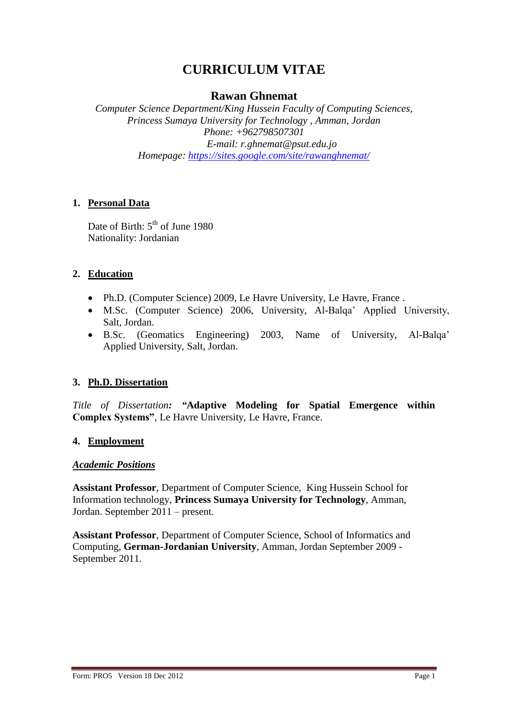# **CURRICULUM VITAE**

## **Rawan Ghnemat**

*Computer Science Department/King Hussein Faculty of Computing Sciences, Princess Sumaya University for Technology , Amman, Jordan Phone: +962798507301 E-mail: r.ghnemat@psut.edu.jo Homepage: <https://sites.google.com/site/rawanghnemat/>*

#### **1. Personal Data**

Date of Birth: 5<sup>th</sup> of June 1980 Nationality: Jordanian

#### **2. Education**

- Ph.D. (Computer Science) 2009, Le Havre University, Le Havre, France .
- M.Sc. (Computer Science) 2006, University, Al-Balqa' Applied University, Salt, Jordan.
- B.Sc. (Geomatics Engineering) 2003, Name of University, Al-Balqa' Applied University, Salt, Jordan.

#### **3. Ph.D. Dissertation**

*Title of Dissertation: "***Adaptive Modeling for Spatial Emergence within Complex Systems"**, Le Havre University, Le Havre, France.

#### **4. Employment**

#### *Academic Positions*

**Assistant Professor**, Department of Computer Science, King Hussein School for Information technology, **Princess Sumaya University for Technology**, Amman, Jordan. September 2011 – present.

**Assistant Professor**, Department of Computer Science, School of Informatics and Computing, **German-Jordanian University**, Amman, Jordan September 2009 - September 2011.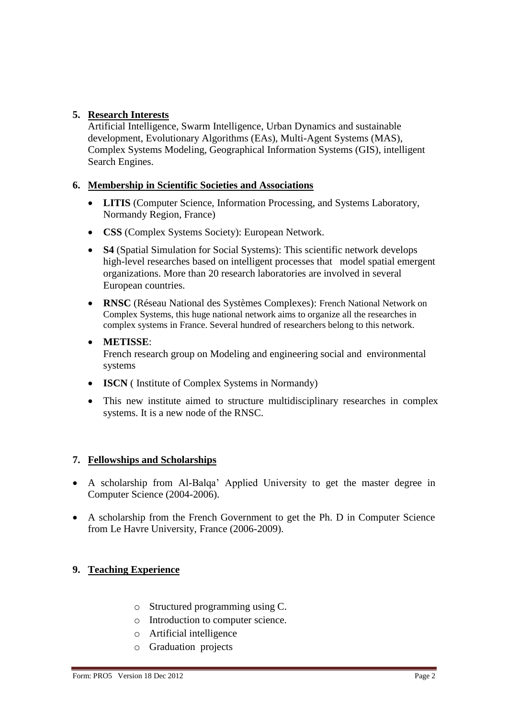## **5. Research Interests**

Artificial Intelligence, Swarm Intelligence, Urban Dynamics and sustainable development, Evolutionary Algorithms (EAs), Multi-Agent Systems (MAS), Complex Systems Modeling, Geographical Information Systems (GIS), intelligent Search Engines.

#### **6. Membership in Scientific Societies and Associations**

- **LITIS** (Computer Science, Information Processing, and Systems Laboratory, Normandy Region, France)
- **CSS** (Complex Systems Society): European Network.
- **S4** (Spatial Simulation for Social Systems): This scientific network develops high-level researches based on intelligent processes that model spatial emergent organizations. More than 20 research laboratories are involved in several European countries.
- **RNSC** (Réseau National des Systèmes Complexes): French National Network on Complex Systems, this huge national network aims to organize all the researches in complex systems in France. Several hundred of researchers belong to this network.
- **METISSE**: French research group on Modeling and engineering social and environmental systems
- **ISCN** (Institute of Complex Systems in Normandy)
- This new institute aimed to structure multidisciplinary researches in complex systems. It is a new node of the RNSC.

#### **7. Fellowships and Scholarships**

- A scholarship from Al-Balqa' Applied University to get the master degree in Computer Science (2004-2006).
- A scholarship from the French Government to get the Ph. D in Computer Science from Le Havre University, France (2006-2009).

#### **9. Teaching Experience**

- o Structured programming using C.
- o Introduction to computer science.
- o Artificial intelligence
- o Graduation projects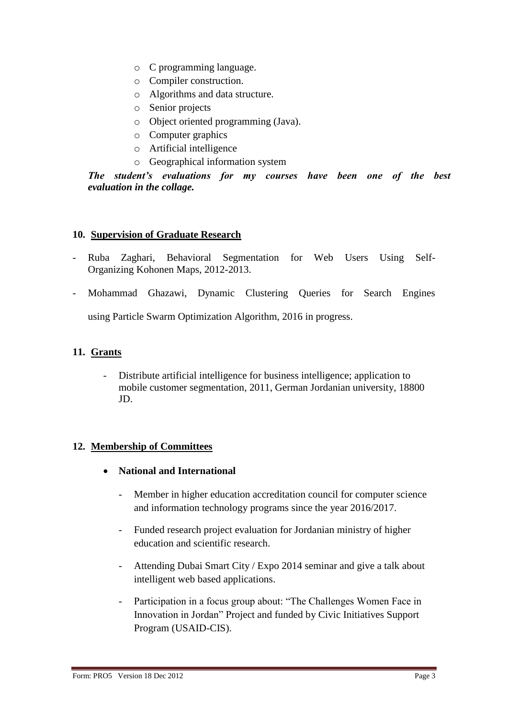- o C programming language.
- o Compiler construction.
- o Algorithms and data structure.
- o Senior projects
- o Object oriented programming (Java).
- o Computer graphics
- o Artificial intelligence
- o Geographical information system

*The student's evaluations for my courses have been one of the best evaluation in the collage.* 

#### **10. Supervision of Graduate Research**

- Ruba Zaghari, Behavioral Segmentation for Web Users Using Self-Organizing Kohonen Maps, 2012-2013.
- Mohammad Ghazawi, Dynamic Clustering Queries for Search Engines

using Particle Swarm Optimization Algorithm, 2016 in progress.

## **11. Grants**

- Distribute artificial intelligence for business intelligence; application to mobile customer segmentation, 2011, German Jordanian university, 18800 JD.

#### **12. Membership of Committees**

- **National and International**
	- Member in higher education accreditation council for computer science and information technology programs since the year 2016/2017.
	- Funded research project evaluation for Jordanian ministry of higher education and scientific research.
	- Attending Dubai Smart City / Expo 2014 seminar and give a talk about intelligent web based applications.
	- Participation in a focus group about: "The Challenges Women Face in Innovation in Jordan" Project and funded by Civic Initiatives Support Program (USAID-CIS).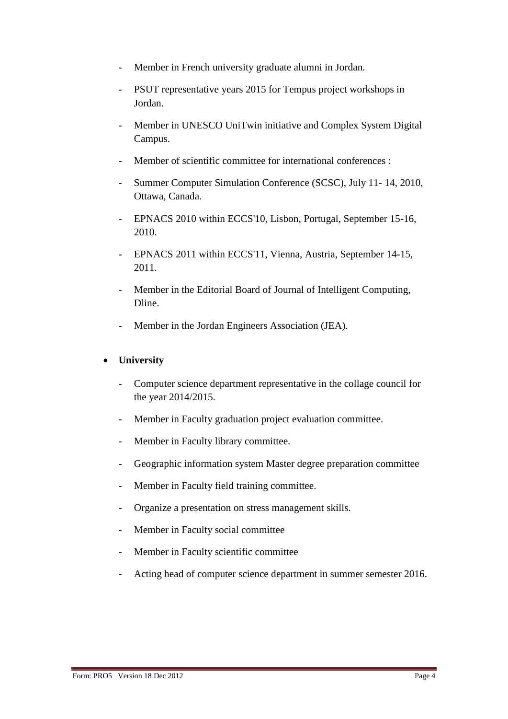- Member in French university graduate alumni in Jordan.
- PSUT representative years 2015 for Tempus project workshops in Jordan.
- Member in UNESCO UniTwin initiative and Complex System Digital Campus.
- Member of scientific committee for international conferences :
- Summer Computer Simulation Conference (SCSC), July 11- 14, 2010, Ottawa, Canada.
- EPNACS 2010 within ECCS'10, Lisbon, Portugal, September 15-16, 2010.
- EPNACS 2011 within ECCS'11, Vienna, Austria, September 14-15, 2011.
- Member in the Editorial Board of Journal of Intelligent Computing, Dline.
- Member in the Jordan Engineers Association (JEA).

#### **University**

- Computer science department representative in the collage council for the year 2014/2015.
- Member in Faculty graduation project evaluation committee.
- Member in Faculty library committee.
- Geographic information system Master degree preparation committee
- Member in Faculty field training committee.
- Organize a presentation on stress management skills.
- Member in Faculty social committee
- Member in Faculty scientific committee
- Acting head of computer science department in summer semester 2016.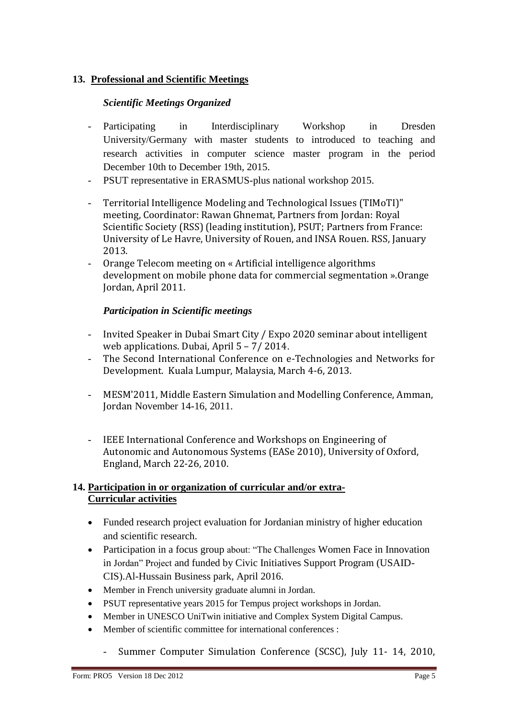# **13. Professional and Scientific Meetings**

### *Scientific Meetings Organized*

- Participating in Interdisciplinary Workshop in Dresden University/Germany with master students to introduced to teaching and research activities in computer science master program in the period December 10th to December 19th, 2015.
- PSUT representative in ERASMUS-plus national workshop 2015.
- Territorial Intelligence Modeling and Technological Issues (TIMoTI)" meeting, Coordinator: Rawan Ghnemat, Partners from Jordan: Royal Scientific Society (RSS) (leading institution), PSUT; Partners from France: University of Le Havre, University of Rouen, and INSA Rouen. RSS, January 2013.
- Orange Telecom meeting on « Artificial intelligence algorithms development on mobile phone data for commercial segmentation ».Orange Jordan, April 2011.

## *Participation in Scientific meetings*

- Invited Speaker in Dubai Smart City / Expo 2020 seminar about intelligent web applications. Dubai, April 5 – 7/ 2014.
- The Second International Conference on e-Technologies and Networks for Development. Kuala Lumpur, Malaysia, March 4-6, 2013.
- MESM'2011, Middle Eastern Simulation and Modelling Conference, Amman, Jordan November 14-16, 2011.
- IEEE International Conference and Workshops on Engineering of Autonomic and Autonomous Systems (EASe 2010), University of Oxford, England, March 22-26, 2010.

#### **14. Participation in or organization of curricular and/or extra-Curricular activities**

- Funded research project evaluation for Jordanian ministry of higher education and scientific research.
- Participation in a focus group about: "The Challenges Women Face in Innovation in Jordan" Project and funded by Civic Initiatives Support Program (USAID-CIS).Al-Hussain Business park, April 2016.
- Member in French university graduate alumni in Jordan.
- PSUT representative years 2015 for Tempus project workshops in Jordan.
- Member in UNESCO UniTwin initiative and Complex System Digital Campus.
- Member of scientific committee for international conferences :
	- Summer Computer Simulation Conference (SCSC), July 11- 14, 2010,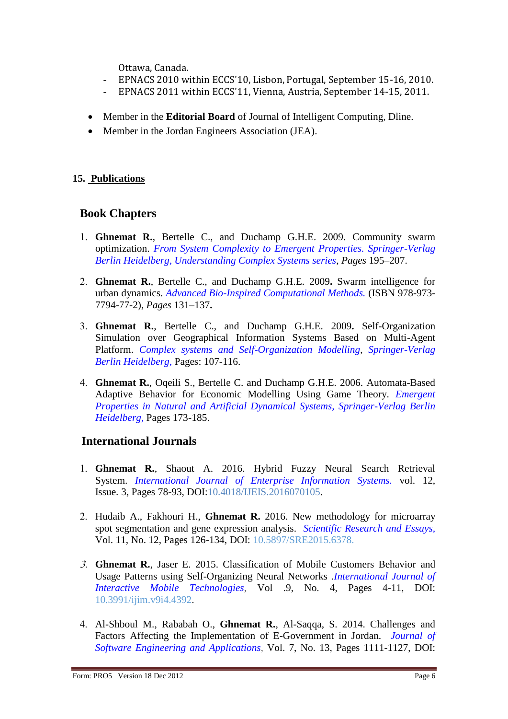Ottawa, Canada.

- EPNACS 2010 within ECCS'10, Lisbon, Portugal, September 15-16, 2010.
- EPNACS 2011 within ECCS'11, Vienna, Austria, September 14-15, 2011.
- Member in the **Editorial Board** of Journal of Intelligent Computing, Dline.
- Member in the Jordan Engineers Association (JEA).

#### **15. Publications**

# **Book Chapters**

- **Ghnemat R.**, Bertelle C., and Duchamp G.H.E. 2009. Community swarm optimization. *From System Complexity to Emergent Properties. Springer-Verlag Berlin Heidelberg, Understanding Complex Systems series*, *Pages* 195–207.
- **Ghnemat R.**, Bertelle C., and Duchamp G.H.E. 2009**.** Swarm intelligence for urban dynamics. *Advanced Bio-Inspired Computational Methods.* (ISBN 978-973- 7794-77-2), *Pages* 131–137**.**
- **Ghnemat R.**, Bertelle C., and Duchamp G.H.E. 2009**.** Self-Organization Simulation over Geographical Information Systems Based on Multi-Agent Platform. *Complex systems and Self-Organization Modelling*, *Springer-Verlag Berlin Heidelberg,* Pages: 107-116.
- **Ghnemat R.**, Oqeili S., Bertelle C. and Duchamp G.H.E. 2006. Automata-Based Adaptive Behavior for Economic Modelling Using Game Theory. *Emergent Properties in Natural and Artificial Dynamical Systems, Springer-Verlag Berlin Heidelberg,* Pages 173-185.

# **International Journals**

- **Ghnemat R.**, Shaout A. 2016. Hybrid Fuzzy Neural Search Retrieval System. *[International Journal of Enterprise Information Systems.](http://www.igi-global.com/journal/1086)* vol. 12, Issue. 3, Pages 78-93, DOI:10.4018/IJEIS.2016070105.
- Hudaib A., Fakhouri H., **Ghnemat R.** 2016. New methodology for microarray spot segmentation and gene expression analysis. *Scientific Research and Essays,*  Vol. 11, No. 12, Pages 126-134, DOI: 10.5897/SRE2015.6378.
- **Ghnemat R.**, Jaser E. 2015. Classification of Mobile Customers Behavior and Usage Patterns using Self-Organizing Neural Networks .*International Journal of Interactive Mobile Technologies*, Vol .9, No. 4, Pages 4-11, DOI: 10.3991/ijim.v9i4.4392.
- Al-Shboul M., Rababah O., **Ghnemat R.**, Al-Saqqa, S. 2014. Challenges and Factors Affecting the Implementation of E-Government in Jordan. *Journal of Software Engineering and Applications*, Vol. 7, No. 13, Pages 1111-1127, DOI: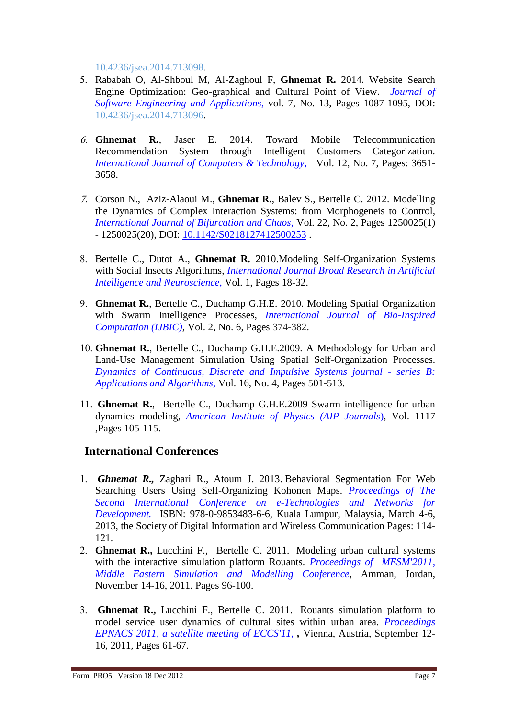10.4236/jsea.2014.713098.

- Rababah O, Al-Shboul M, Al-Zaghoul F, **Ghnemat R.** 2014. Website Search Engine Optimization: Geo-graphical and Cultural Point of View. *Journal of Software Engineering and Applications,* vol. 7, No. 13, Pages 1087-1095, DOI: [10.4236/jsea.2014.713096.](http://dx.doi.org/10.4236/jsea.2014.713096)
- **Ghnemat R.**, Jaser E. 2014. Toward Mobile Telecommunication Recommendation System through Intelligent Customers Categorization. *International Journal of Computers & Technology,* Vol. 12, No. 7, Pages: 3651- 3658.
- Corson N., Aziz-Alaoui M., **Ghnemat R.**, Balev S., Bertelle C. 2012. Modelling the Dynamics of Complex Interaction Systems: from Morphogeneis to Control*, International Journal of Bifurcation and Chaos,* Vol. 22, No. 2, Pages 1250025(1) - 1250025(20), DOI: [10.1142/S0218127412500253](http://dx.doi.org/10.1142/S0218127412500253) .
- Bertelle C., Dutot A., **Ghnemat R***.* 2010.Modeling Self-Organization Systems with Social Insects Algorithms, *International Journal Broad Research in Artificial Intelligence and Neuroscience*, Vol. 1, Pages 18-32.
- **Ghnemat R.**, Bertelle C., Duchamp G.H.E. 2010. Modeling Spatial Organization with Swarm Intelligence Processes, *International Journal of Bio-Inspired Computation (IJBIC)*, Vol. 2, No. 6, Pages 374-382.
- **Ghnemat R.**, Bertelle C., Duchamp G.H.E.2009. A Methodology for Urban and Land-Use Management Simulation Using Spatial Self-Organization Processes. *Dynamics of Continuous, Discrete and Impulsive Systems journal - series B: Applications and Algorithms,* Vol. 16, No. 4, Pages 501-513.
- **Ghnemat R.**, Bertelle C., Duchamp G.H.E.2009 Swarm intelligence for urban dynamics modeling, *American Institute of Physics (AIP Journals*), Vol. 1117 ,Pages 105-115.

# **International Conferences**

- *Ghnemat R.,* Zaghari R., Atoum J. 2013. Behavioral Segmentation For Web Searching Users Using Self-Organizing Kohonen Maps. *Proceedings of The Second International Conference on e-Technologies and Networks for Development.* ISBN: 978-0-9853483-6-6, Kuala Lumpur, Malaysia, March 4-6, 2013, the Society of Digital Information and Wireless Communication Pages: 114- 121.
- **Ghnemat R.,** Lucchini F., Bertelle C. 2011. Modeling urban cultural systems with the interactive simulation platform Rouants. *Proceedings of MESM'2011, Middle Eastern Simulation and Modelling Conference*, Amman, Jordan, November 14-16, 2011. Pages 96-100.
- **Ghnemat R.,** Lucchini F., Bertelle C. 2011. Rouants simulation platform to model service user dynamics of cultural sites within urban area. *Proceedings EPNACS 2011, a satellite meeting of ECCS'11, ,* Vienna, Austria, September 12- 16, 2011, Pages 61-67.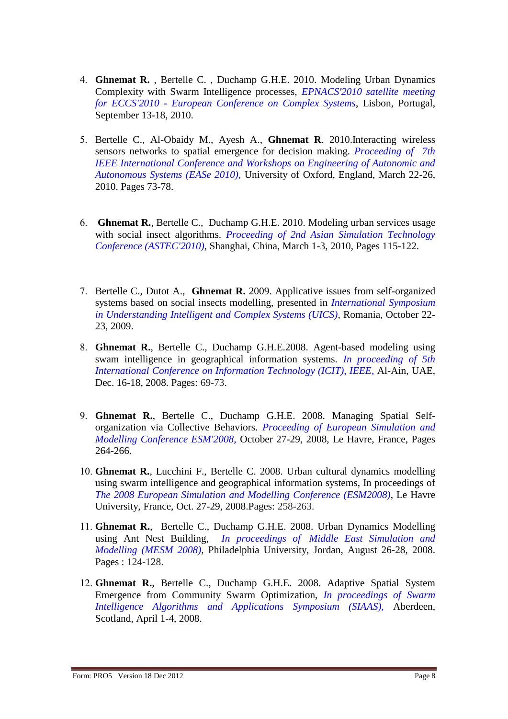- **Ghnemat R.** , Bertelle C. , Duchamp G.H.E. 2010. Modeling Urban Dynamics Complexity with Swarm Intelligence processes, *EPNACS'2010 satellite meeting for ECCS'2010 - European Conference on Complex Systems*, Lisbon, Portugal, September 13-18, 2010.
- Bertelle C., Al-Obaidy M., Ayesh A., **Ghnemat R**. 2010.Interacting wireless sensors networks to spatial emergence for decision making. *Proceeding of 7th IEEE International Conference and Workshops on Engineering of Autonomic and Autonomous Systems (EASe 2010),* University of Oxford, England, March 22-26, 2010. Pages 73-78.
- **Ghnemat R.**, Bertelle C., Duchamp G.H.E. 2010. Modeling urban services usage with social insect algorithms. *Proceeding of 2nd Asian Simulation Technology Conference (ASTEC'2010)*, Shanghai, China, March 1-3, 2010, Pages 115-122.
- Bertelle C., Dutot A., **Ghnemat R.** 2009. Applicative issues from self-organized systems based on social insects modelling, presented in *International Symposium in Understanding Intelligent and Complex Systems (UICS)*, Romania, October 22- 23, 2009.
- **Ghnemat R.**, Bertelle C., Duchamp G.H.E.2008. Agent-based modeling using swam intelligence in geographical information systems. *In proceeding of 5th International Conference on Information Technology (ICIT), IEEE,* Al-Ain, UAE, Dec. 16-18, 2008. Pages: 69-73.
- **Ghnemat R.**, Bertelle C., Duchamp G.H.E. 2008. Managing Spatial Selforganization via Collective Behaviors. *Proceeding of European Simulation and Modelling Conference ESM'2008,* October 27-29, 2008, Le Havre, France, Pages 264-266.
- **Ghnemat R.**, Lucchini F., Bertelle C. 2008. Urban cultural dynamics modelling using swarm intelligence and geographical information systems, In proceedings of *The 2008 European Simulation and Modelling Conference (ESM2008)*, Le Havre University, France, Oct. 27-29, 2008.Pages: 258-263.
- **Ghnemat R.**, Bertelle C., Duchamp G.H.E. 2008. Urban Dynamics Modelling using Ant Nest Building, *In proceedings of Middle East Simulation and Modelling (MESM 2008)*, Philadelphia University, Jordan, August 26-28, 2008. Pages : 124-128.
- **Ghnemat R.**, Bertelle C., Duchamp G.H.E. 2008. Adaptive Spatial System Emergence from Community Swarm Optimization, *In proceedings of Swarm Intelligence Algorithms and Applications Symposium (SIAAS),* Aberdeen, Scotland, April 1-4, 2008.